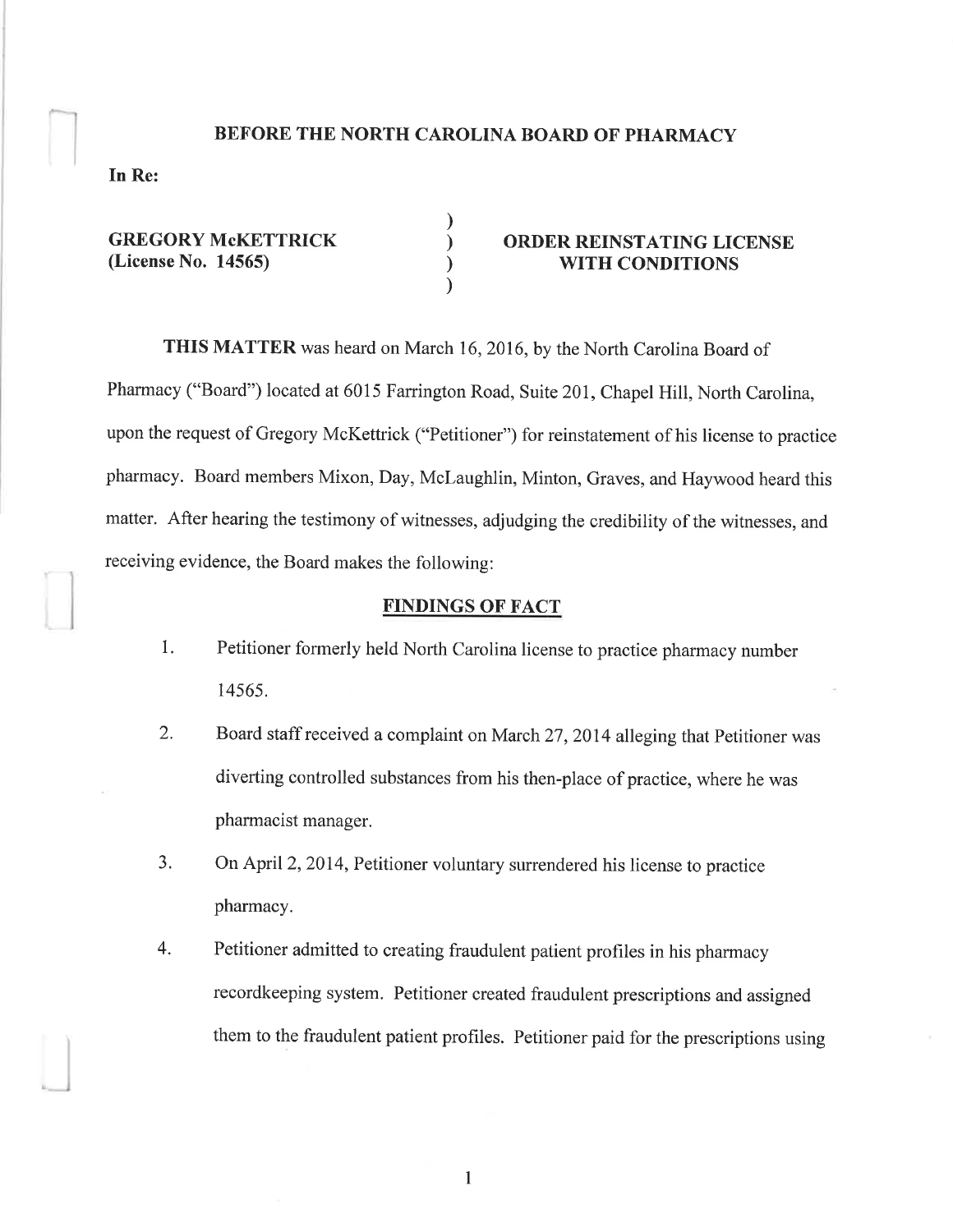### BEFORE THE NORTH CAROLINA BOARD OF PHARMACY

) ) ) )

In Re:

GREGORY McKETTRICK (License No. 14565)

# ORDER REINSTATING LICENSE WITH CONDITIONS

THIS MATTER was heard on March 16,2016, by the North Carolina Board of Pharmacy ("Board") located at 6015 Farrington Road, Suite 201, Chapel Hill, North Carolina, upon the request of Gregory McKettrick ("Petitioner") for reinstatement of his license to practice pharmacy. Board members Mixon, Day, Mclaughlin, Minton, Graves, and Haywood heard this matter. After hearing the testimony of witnesses, adjudging the credibility of the witnesses, and receiving evidence, the Board makes the following:

### FINDINGS OF FACT

- 1. Petitioner formerly held North Carolina license to practice pharmacy number 14565.
- 2. Board staff received a complaint on March 27, 2014 alleging that Petitioner was diverting controlled substances from his then-place of practice, where he was pharmacist manager.
- 3. On April 2,2014, Petitioner voluntary surrendered his license to practice pharmacy.
- 4. Petitioner admitted to creating fraudulent patient profiles in his pharmacy recordkeeping system. Petitioner created fraudulent prescriptions and assigned them to the fraudulent patient profiles. Petitioner paid for the prescriptions using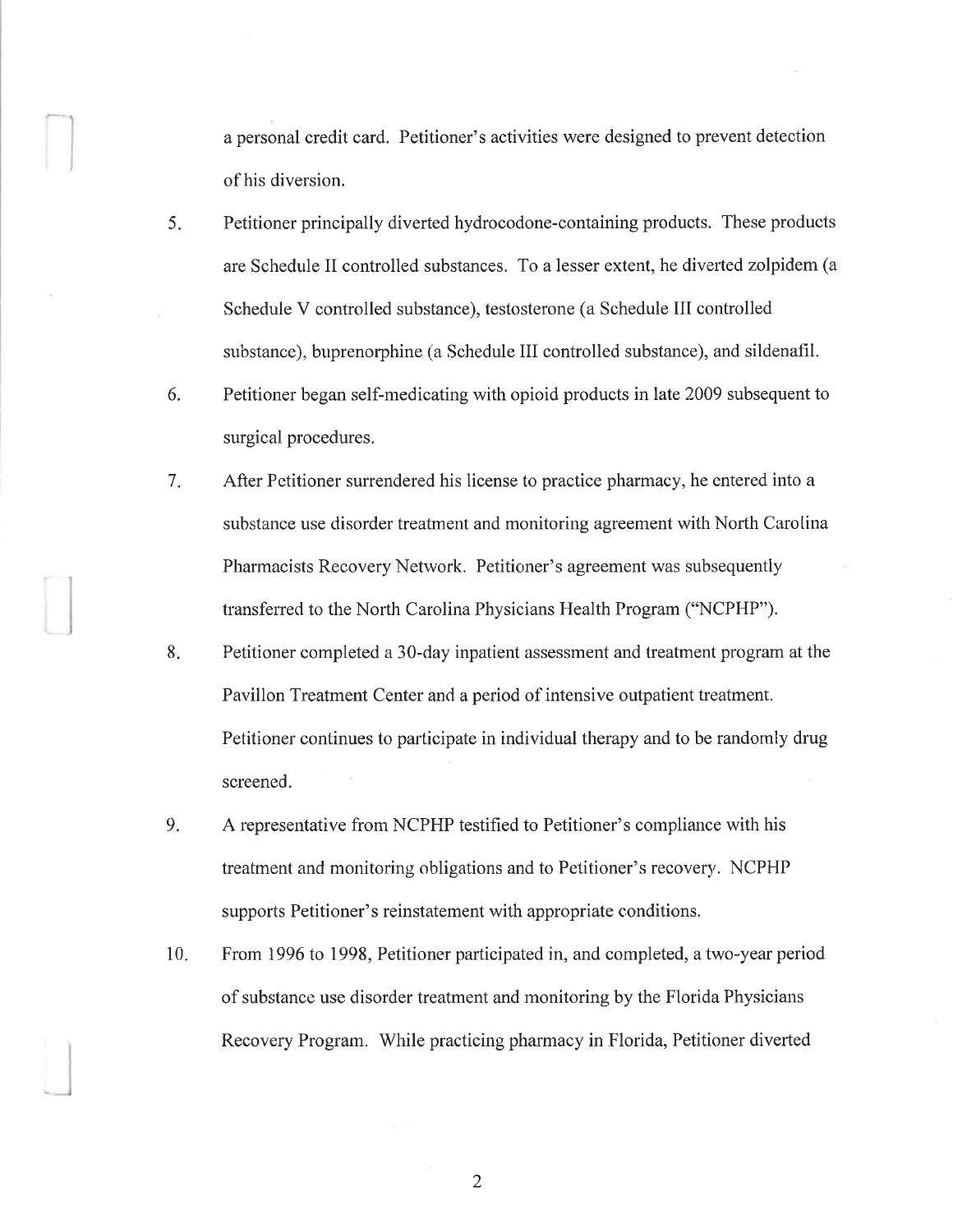a personal credit card. Petitioner's activities were designed to prevent detection of his diversion.

- 5. Petitioner principally diverted hydrocodone-containing products. These products are Schedule II controlled substances. To a lesser extent, he diverted zolpidem (a Schedule V controlled substance), testosterone (a Schedule III controlled snbstance), buprenorphine (a Schedule III controlled substance), and sildenafil.
- Petitioner began self-medicating with opioid products in late 2009 subsequent to surgical procedures. 6.
- After Petitioner surrendered his license to practice pharmacy, he entered into a substance use disorder treatment and monitoring agreement with North Carolina Pharmacists Recovery Network. Petitioner's agreement was subsequently transferred to the North Carolina Physicians Health Program ("NCPHP"). 7
- Petitioner completed a 30-day inpatient assessment and treatment program at the Pavillon Treatment Center and a period of intensive outpatient treatment. Petitioner continues to participate in individual therapy and to be randomly drug screened. 8
- A representative from NCPHP testified to Petitioner's compliance with his treatment and monitoring obligations and to Petitioner's recovery, NCPHP supports Petitioner's reinstatement with appropriate conditions.  $9.$
- From 1996 fo 1998, Petitioner participated in, and completed, a two-year period of substance use disorder treatment and monitoring by the Florida Physicians Recovery Program. While practicing pharmacy in Florida, Petitioner diverted  $10.$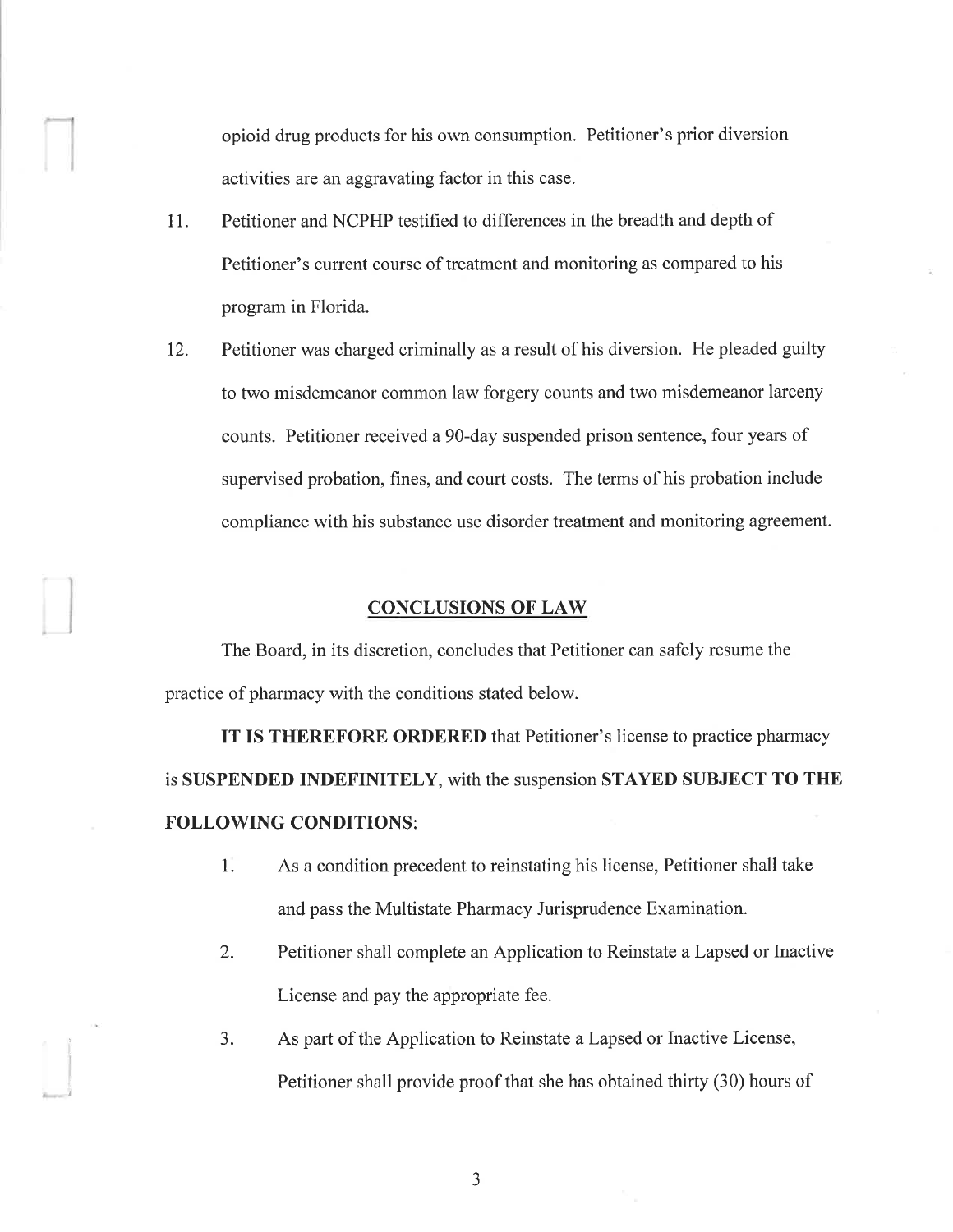opioid drug products for his own consumption. Petitioner's prior diversion activities are an aggravating factor in this case.

- 11. Petitioner and NCPHP testified to differences in the breadth and depth of Petitioner's current course of treatment and monitoring as compared to his program in Florida.
- 12. Petitioner was charged criminally as a result of his diversion. He pleaded guilty to two misdemeanor common law forgery counts and two misdemeanor larceny counts. Petitioner received a90-day suspended prison sentence, four years of supervised probation, fines, and court costs. The terms of his probation include compliance with his substance use disorder treatment and monitoring agreement.

### CONCLUSIONS OF LAW

The Board, in its discretion, concludes that Petitioner can safely resume the practice of pharmacy with the conditions stated below.

IT IS THEREFORE ORDERED that Petitioner's license to practice pharmacy is SUSPENDED INDEFINITELY, with the suspension STAYED SUBJECT TO THE FOLLOWING CONDITIONS:

- 1. As a condition precedent to reinstating his license, Petitioner shall take and pass the Multistate Pharmacy Jurisprudence Examination.
- 2. Petitioner shall complete an Application to Reinstate a Lapsed or Inactive License and pay the appropriate fee.
- 3. As part of the Application to Reinstate a Lapsed or Inactive License, Petitioner shall provide proof that she has obtained thirty (30) hours of

a J

)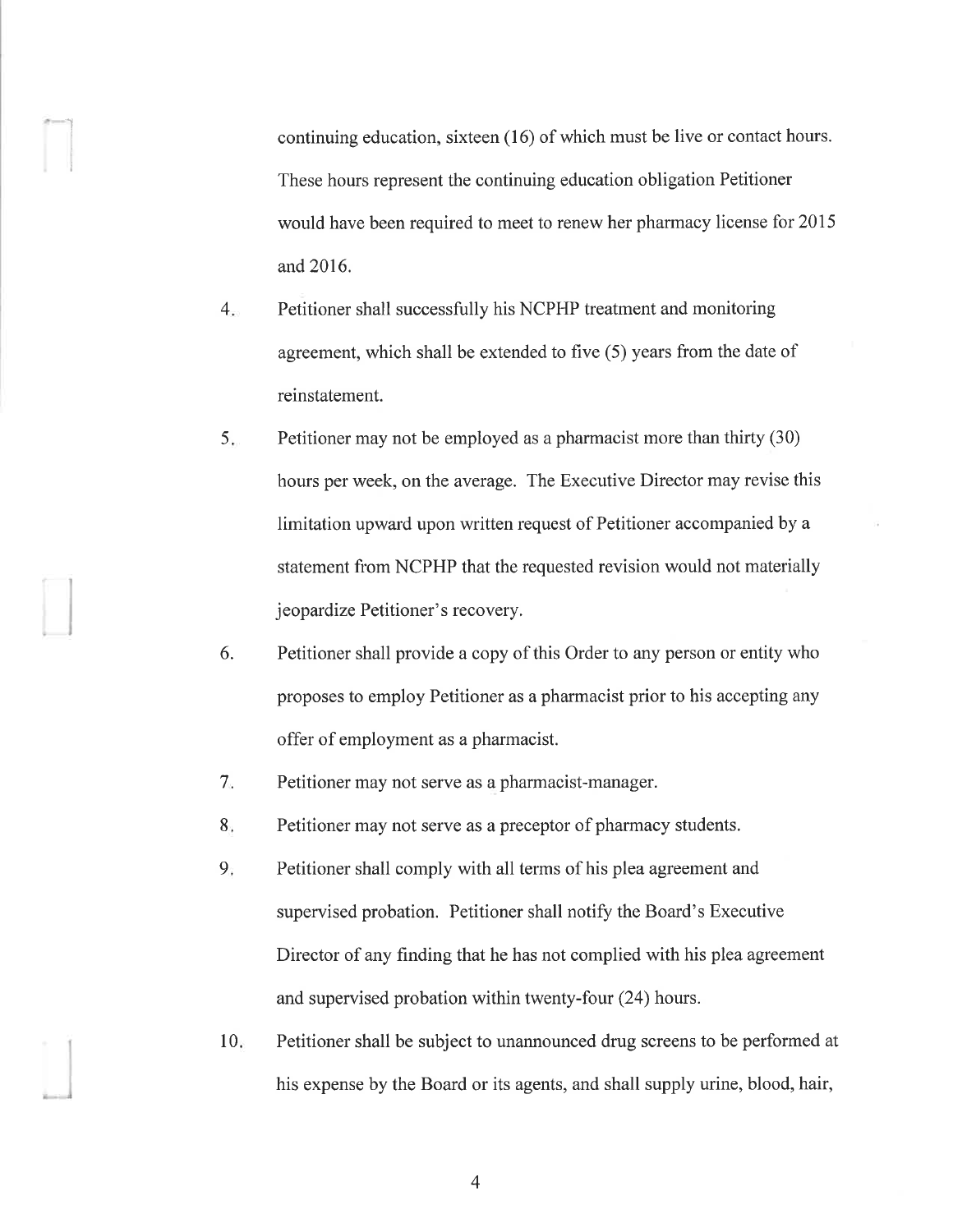continuing education, sixteen (16) of which must be live or contact hours. These hours represent the continuing education obligation Petitioner would have been required to meet to renew her pharmacy license for 2015 and 2016.

 $4.$ Petitioner shall successfully his NCPHP treatment and monitoring agreement, which shall be extended to five (5) years from the date of reinstatement.

I

I

- 5. Petitioner may not be employed as a pharmacist more than thirty (30) hours per week, on the average. The Executive Director may revise this limitation upward upon written request of Petitioner accompanied by a statement from NCPHP that the requested revision would not materially jeopardize Petitioner's recovery.
- Petitioner shall provide a copy of this Order to any person or entity who proposes to employ Petitioner as a pharmacist prior to his accepting any offer of employment as a pharmacist. 6.
- Petitioner may not serve as a pharmacist-manager. 7
- Petitioner may not serve as a preceptor of pharmacy students. 8
- Petitioner shall comply with all terms of his plea agreement and supervised probation. Petitioner shall notify the Board's Executive Director of any finding that he has not complied with his plea agreement and supervised probation within twenty-four (24) hours.  $9<sub>i</sub>$
- Petitioner shall be subject to unannounced drug screens to be performed at his expense by the Board or its agents, and shall supply urine, blood, hair,  $10<sub>ii</sub>$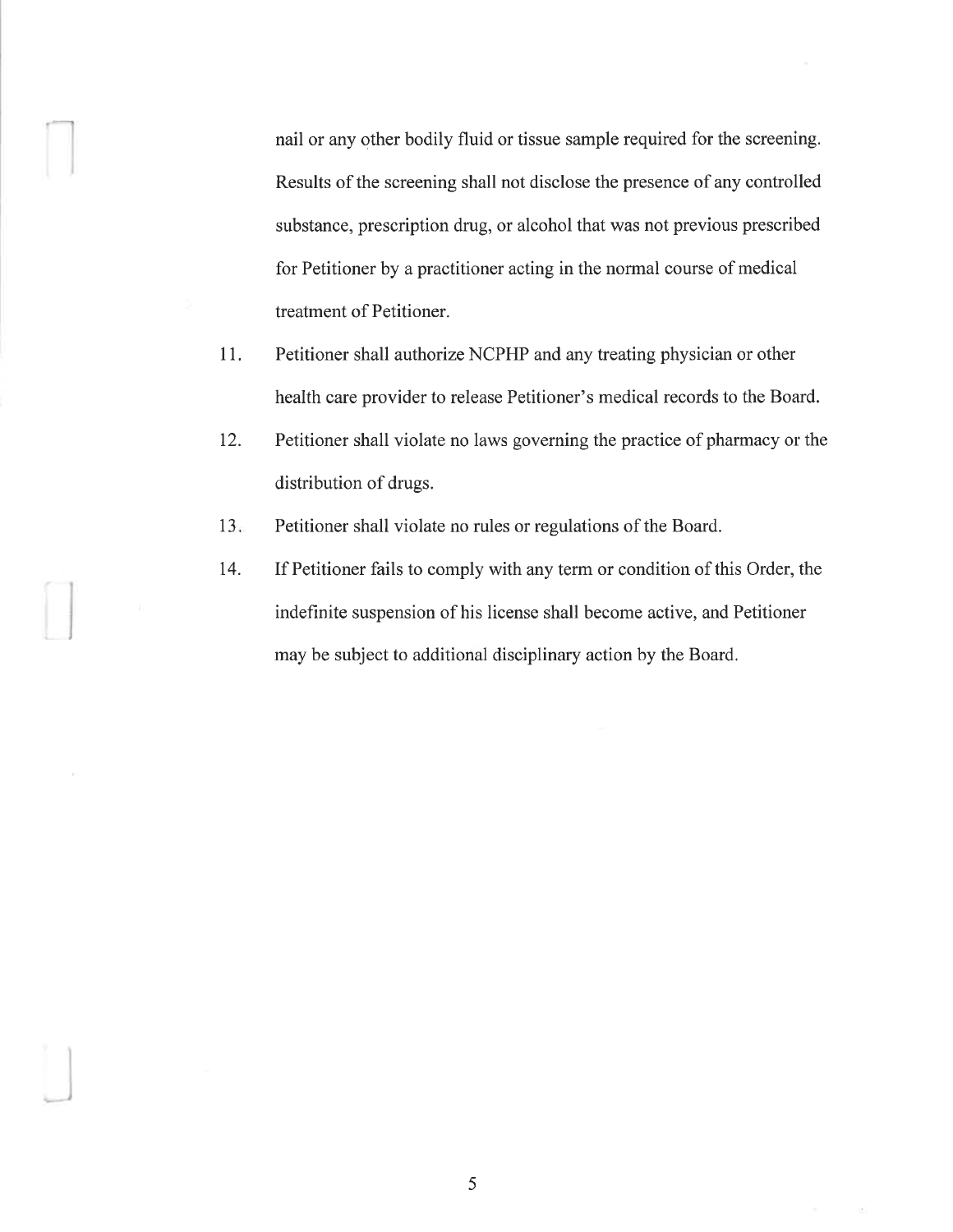nail or any other bodily fluid or tissue sample required for the screening. Results of the screening shall not disclose the presence of any controlled substance, prescription drug, or alcohol that was not previous prescribed for Petitioner by a practitioner acting in the normal course of medical treatment of Petitioner.

- 11. Petitioner shall authorize NCPHP and any treating physician or other health care provider to release Petitioner's medical records to the Board.
- 12. Petitioner shall violate no laws governing the practice of pharmacy or the distribution of drugs.
- $13.$ Petitioner shall violate no rules or regulations of the Board.
- t4. If Petitioner fails to comply with any term or condition of this Order, the indeflrnite suspension of his license shall become active, and Petitioner may be subject to additional disciplinary action by the Board.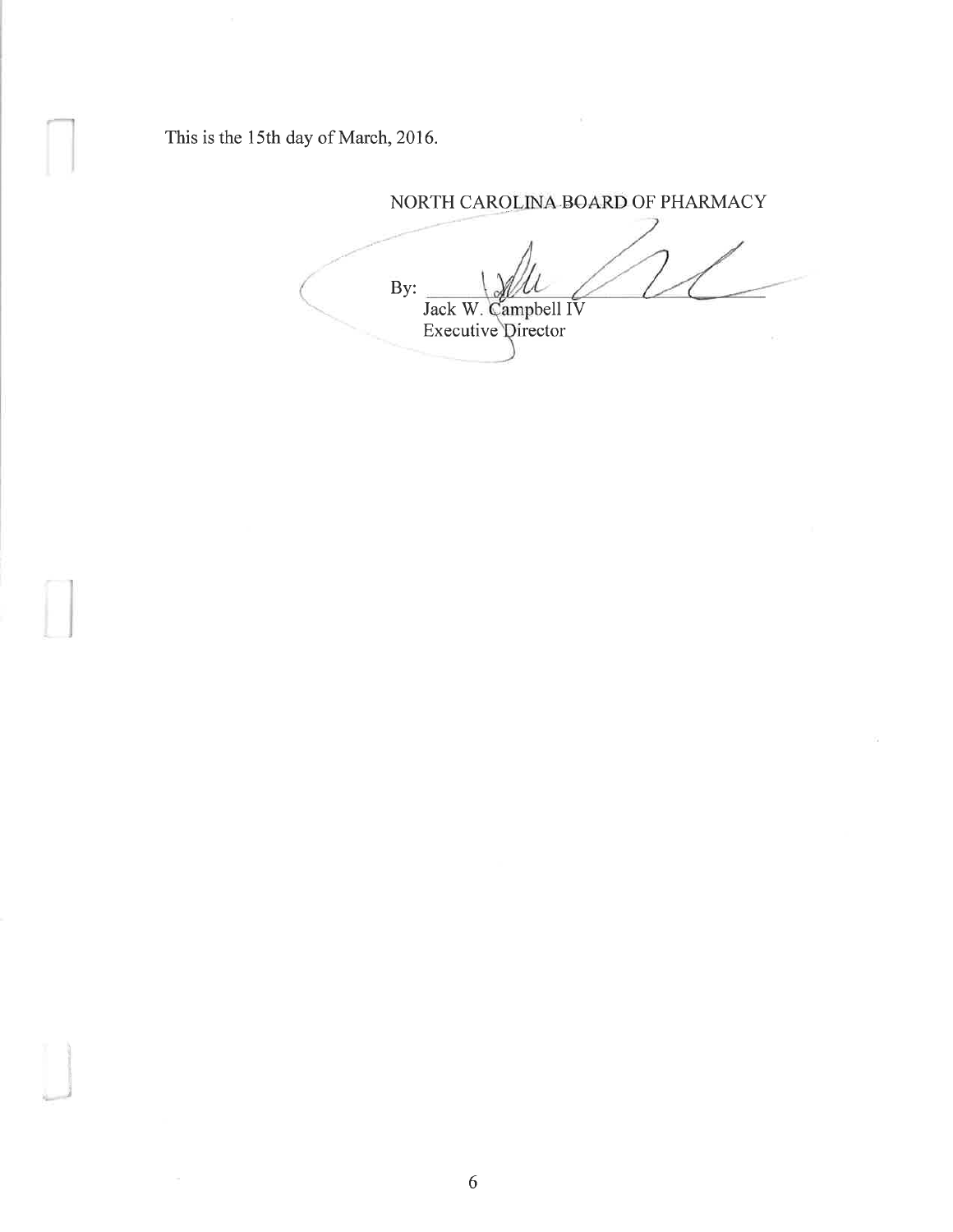This is the 15th day of March,20l6.

NORTH CAROLINA BOARD OF PHARMACY By: Jack W. Campbell IV Executive Director